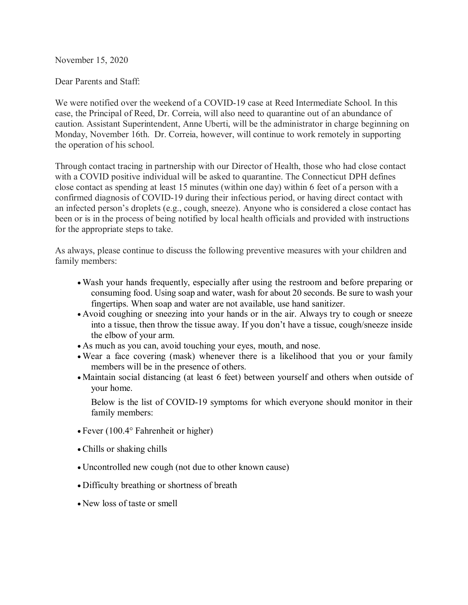November 15, 2020

Dear Parents and Staff:

We were notified over the weekend of a COVID-19 case at Reed Intermediate School. In this case, the Principal of Reed, Dr. Correia, will also need to quarantine out of an abundance of caution. Assistant Superintendent, Anne Uberti, will be the administrator in charge beginning on Monday, November 16th. Dr. Correia, however, will continue to work remotely in supporting the operation of his school.

Through contact tracing in partnership with our Director of Health, those who had close contact with a COVID positive individual will be asked to quarantine. The Connecticut DPH defines close contact as spending at least 15 minutes (within one day) within 6 feet of a person with a confirmed diagnosis of COVID-19 during their infectious period, or having direct contact with an infected person's droplets (e.g., cough, sneeze). Anyone who is considered a close contact has been or is in the process of being notified by local health officials and provided with instructions for the appropriate steps to take.

As always, please continue to discuss the following preventive measures with your children and family members:

- Wash your hands frequently, especially after using the restroom and before preparing or consuming food. Using soap and water, wash for about 20 seconds. Be sure to wash your fingertips. When soap and water are not available, use hand sanitizer.
- Avoid coughing or sneezing into your hands or in the air. Always try to cough or sneeze into a tissue, then throw the tissue away. If you don't have a tissue, cough/sneeze inside the elbow of your arm.
- As much as you can, avoid touching your eyes, mouth, and nose.
- Wear a face covering (mask) whenever there is a likelihood that you or your family members will be in the presence of others.
- Maintain social distancing (at least 6 feet) between yourself and others when outside of your home.

Below is the list of COVID-19 symptoms for which everyone should monitor in their family members:

- Fever (100.4° Fahrenheit or higher)
- Chills or shaking chills
- Uncontrolled new cough (not due to other known cause)
- Difficulty breathing or shortness of breath
- New loss of taste or smell